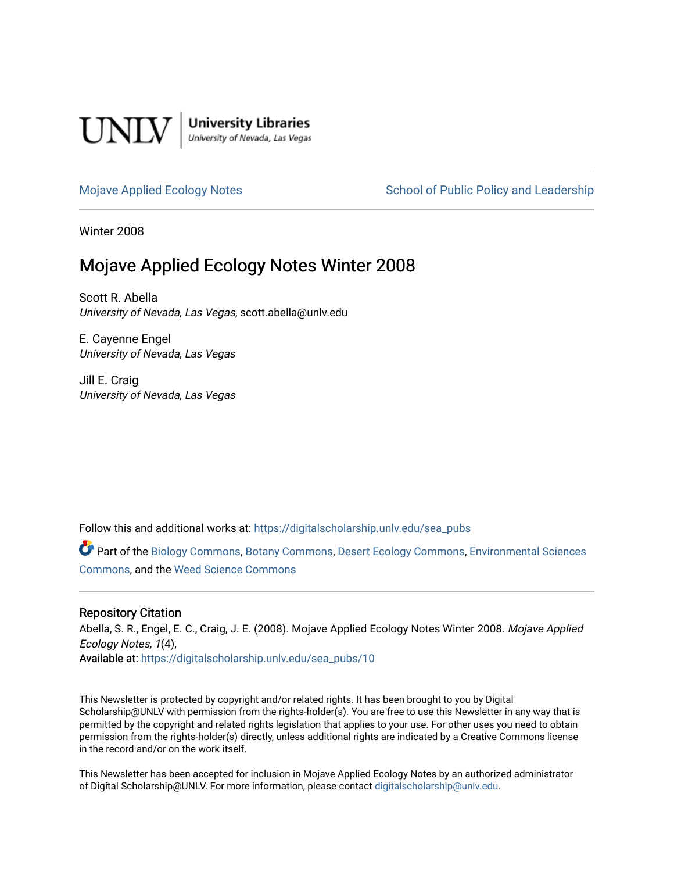

**University Libraries**<br>University of Nevada, Las Vegas

### [Mojave Applied Ecology Notes](https://digitalscholarship.unlv.edu/sea_pubs) School of Public Policy and Leadership

Winter 2008

# Mojave Applied Ecology Notes Winter 2008

Scott R. Abella University of Nevada, Las Vegas, scott.abella@unlv.edu

E. Cayenne Engel University of Nevada, Las Vegas

Jill E. Craig University of Nevada, Las Vegas

Follow this and additional works at: [https://digitalscholarship.unlv.edu/sea\\_pubs](https://digitalscholarship.unlv.edu/sea_pubs?utm_source=digitalscholarship.unlv.edu%2Fsea_pubs%2F10&utm_medium=PDF&utm_campaign=PDFCoverPages) 

Part of the [Biology Commons,](http://network.bepress.com/hgg/discipline/41?utm_source=digitalscholarship.unlv.edu%2Fsea_pubs%2F10&utm_medium=PDF&utm_campaign=PDFCoverPages) [Botany Commons,](http://network.bepress.com/hgg/discipline/104?utm_source=digitalscholarship.unlv.edu%2Fsea_pubs%2F10&utm_medium=PDF&utm_campaign=PDFCoverPages) [Desert Ecology Commons](http://network.bepress.com/hgg/discipline/1261?utm_source=digitalscholarship.unlv.edu%2Fsea_pubs%2F10&utm_medium=PDF&utm_campaign=PDFCoverPages), [Environmental Sciences](http://network.bepress.com/hgg/discipline/167?utm_source=digitalscholarship.unlv.edu%2Fsea_pubs%2F10&utm_medium=PDF&utm_campaign=PDFCoverPages)  [Commons](http://network.bepress.com/hgg/discipline/167?utm_source=digitalscholarship.unlv.edu%2Fsea_pubs%2F10&utm_medium=PDF&utm_campaign=PDFCoverPages), and the [Weed Science Commons](http://network.bepress.com/hgg/discipline/1267?utm_source=digitalscholarship.unlv.edu%2Fsea_pubs%2F10&utm_medium=PDF&utm_campaign=PDFCoverPages)

### Repository Citation

Abella, S. R., Engel, E. C., Craig, J. E. (2008). Mojave Applied Ecology Notes Winter 2008. Mojave Applied Ecology Notes, 1(4), Available at: [https://digitalscholarship.unlv.edu/sea\\_pubs/10](https://digitalscholarship.unlv.edu/sea_pubs/10) 

This Newsletter is protected by copyright and/or related rights. It has been brought to you by Digital Scholarship@UNLV with permission from the rights-holder(s). You are free to use this Newsletter in any way that is permitted by the copyright and related rights legislation that applies to your use. For other uses you need to obtain permission from the rights-holder(s) directly, unless additional rights are indicated by a Creative Commons license in the record and/or on the work itself.

This Newsletter has been accepted for inclusion in Mojave Applied Ecology Notes by an authorized administrator of Digital Scholarship@UNLV. For more information, please contact [digitalscholarship@unlv.edu.](mailto:digitalscholarship@unlv.edu)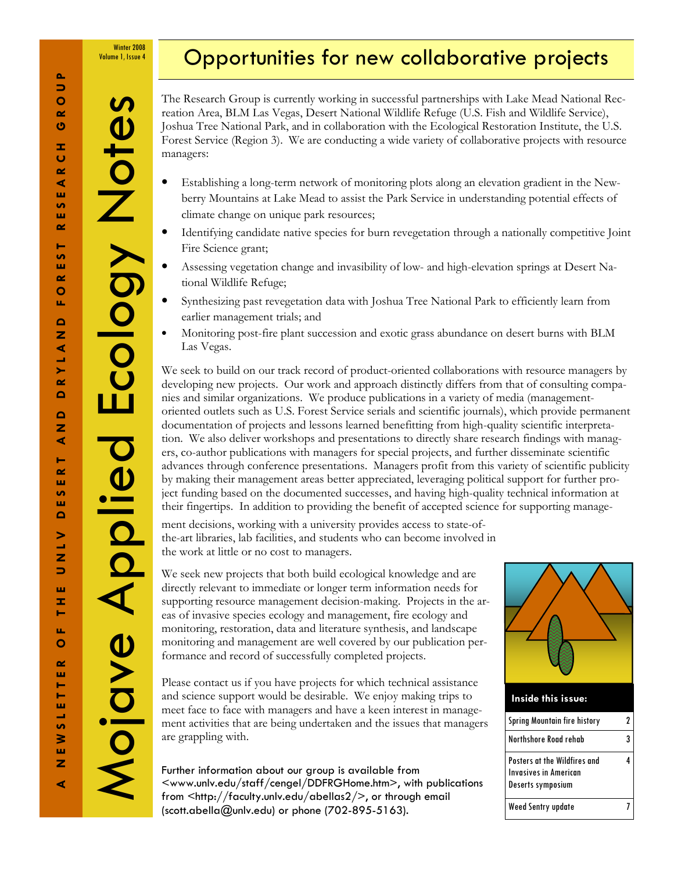Winter 2008 Volume 1, Issue 4

 $\boldsymbol{\omega}$ 

Ecology Note

# Opportunities for new collaborative projects

The Research Group is currently working in successful partnerships with Lake Mead National Recreation Area, BLM Las Vegas, Desert National Wildlife Refuge (U.S. Fish and Wildlife Service), Joshua Tree National Park, and in collaboration with the Ecological Restoration Institute, the U.S. Forest Service (Region 3). We are conducting a wide variety of collaborative projects with resource managers:

- Establishing a long-term network of monitoring plots along an elevation gradient in the Newberry Mountains at Lake Mead to assist the Park Service in understanding potential effects of climate change on unique park resources;
- Identifying candidate native species for burn revegetation through a nationally competitive Joint Fire Science grant;
- Assessing vegetation change and invasibility of low- and high-elevation springs at Desert National Wildlife Refuge;
- Synthesizing past revegetation data with Joshua Tree National Park to efficiently learn from earlier management trials; and
- Monitoring post-fire plant succession and exotic grass abundance on desert burns with BLM Las Vegas.

We seek to build on our track record of product-oriented collaborations with resource managers by developing new projects. Our work and approach distinctly differs from that of consulting companies and similar organizations. We produce publications in a variety of media (managementoriented outlets such as U.S. Forest Service serials and scientific journals), which provide permanent documentation of projects and lessons learned benefitting from high-quality scientific interpretation. We also deliver workshops and presentations to directly share research findings with managers, co-author publications with managers for special projects, and further disseminate scientific advances through conference presentations. Managers profit from this variety of scientific publicity by making their management areas better appreciated, leveraging political support for further project funding based on the documented successes, and having high-quality technical information at their fingertips. In addition to providing the benefit of accepted science for supporting manage-

ment decisions, working with a university provides access to state-ofthe-art libraries, lab facilities, and students who can become involved in the work at little or no cost to managers.

We seek new projects that both build ecological knowledge and are directly relevant to immediate or longer term information needs for supporting resource management decision-making. Projects in the areas of invasive species ecology and management, fire ecology and monitoring, restoration, data and literature synthesis, and landscape monitoring and management are well covered by our publication performance and record of successfully completed projects.

Please contact us if you have projects for which technical assistance and science support would be desirable. We enjoy making trips to meet face to face with managers and have a keen interest in management activities that are being undertaken and the issues that managers are grappling with.

Further information about our group is available from <www.unlv.edu/staff/cengel/DDFRGHome.htm>, with publications from <http://faculty.unlv.edu/abellas2/>, or through email (scott.abella@unlv.edu) or phone (702-895-5163).



| Spring Mountain fire history                                                      |  |
|-----------------------------------------------------------------------------------|--|
| Northshore Road rehab                                                             |  |
| Posters at the Wildfires and<br><b>Invasives in American</b><br>Deserts symposium |  |
| Weed Sentry update                                                                |  |

Mojave Applied Ecology Notes

Mojave Aplied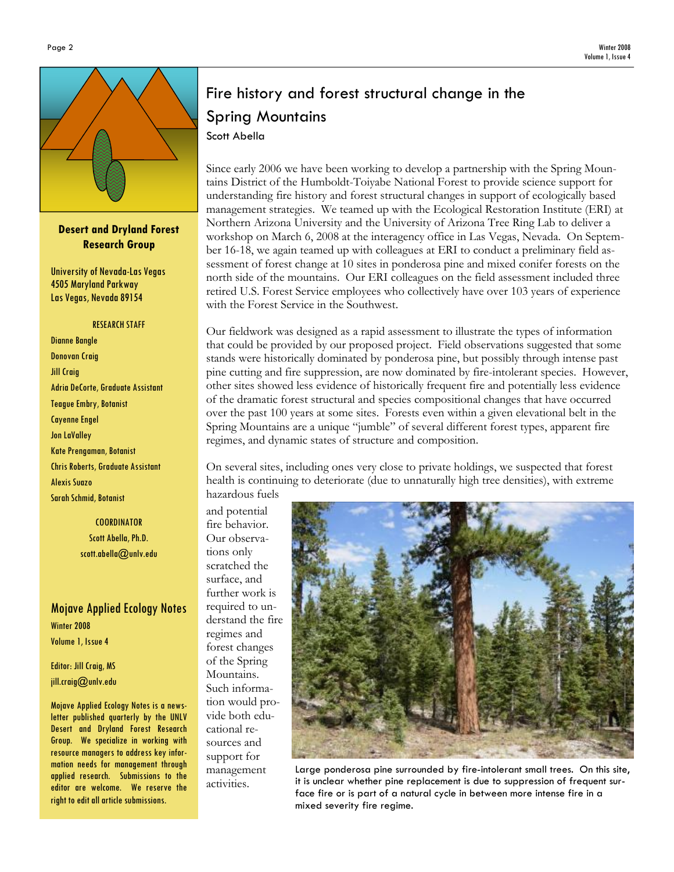

Desert and Dryland Forest Research Group

University of Nevada-Las Vegas 4505 Maryland Parkway Las Vegas, Nevada 89154

#### RESEARCH STAFF

Dianne Bangle Donovan Craig Jill Craig Adria DeCorte, Graduate Assistant Teague Embry, Botanist Cayenne Engel Jon LaValley Kate Prengaman, Botanist Chris Roberts, Graduate Assistant Alexis Suazo Sarah Schmid, Botanist

> **COORDINATOR** Scott Abella, Ph.D. scott.abella@unlv.edu

# Mojave Applied Ecology Notes Winter 2008 Volume 1, Issue 4

Editor: Jill Craig, MS jill.craig@unlv.edu

Mojave Applied Ecology Notes is a newsletter published quarterly by the UNLV Desert and Dryland Forest Research Group. We specialize in working with resource managers to address key information needs for management through applied research. Submissions to the editor are welcome. We reserve the right to edit all article submissions.

# Fire history and forest structural change in the Spring Mountains Scott Abella

Since early 2006 we have been working to develop a partnership with the Spring Mountains District of the Humboldt-Toiyabe National Forest to provide science support for understanding fire history and forest structural changes in support of ecologically based management strategies. We teamed up with the Ecological Restoration Institute (ERI) at Northern Arizona University and the University of Arizona Tree Ring Lab to deliver a workshop on March 6, 2008 at the interagency office in Las Vegas, Nevada. On September 16-18, we again teamed up with colleagues at ERI to conduct a preliminary field assessment of forest change at 10 sites in ponderosa pine and mixed conifer forests on the north side of the mountains. Our ERI colleagues on the field assessment included three retired U.S. Forest Service employees who collectively have over 103 years of experience with the Forest Service in the Southwest.

Our fieldwork was designed as a rapid assessment to illustrate the types of information that could be provided by our proposed project. Field observations suggested that some stands were historically dominated by ponderosa pine, but possibly through intense past pine cutting and fire suppression, are now dominated by fire-intolerant species. However, other sites showed less evidence of historically frequent fire and potentially less evidence of the dramatic forest structural and species compositional changes that have occurred over the past 100 years at some sites. Forests even within a given elevational belt in the Spring Mountains are a unique "jumble" of several different forest types, apparent fire regimes, and dynamic states of structure and composition.

On several sites, including ones very close to private holdings, we suspected that forest health is continuing to deteriorate (due to unnaturally high tree densities), with extreme hazardous fuels

and potential fire behavior. Our observations only scratched the surface, and further work is required to understand the fire regimes and forest changes of the Spring Mountains. Such information would provide both educational resources and support for management activities.



Large ponderosa pine surrounded by fire-intolerant small trees. On this site, it is unclear whether pine replacement is due to suppression of frequent surface fire or is part of a natural cycle in between more intense fire in a mixed severity fire regime.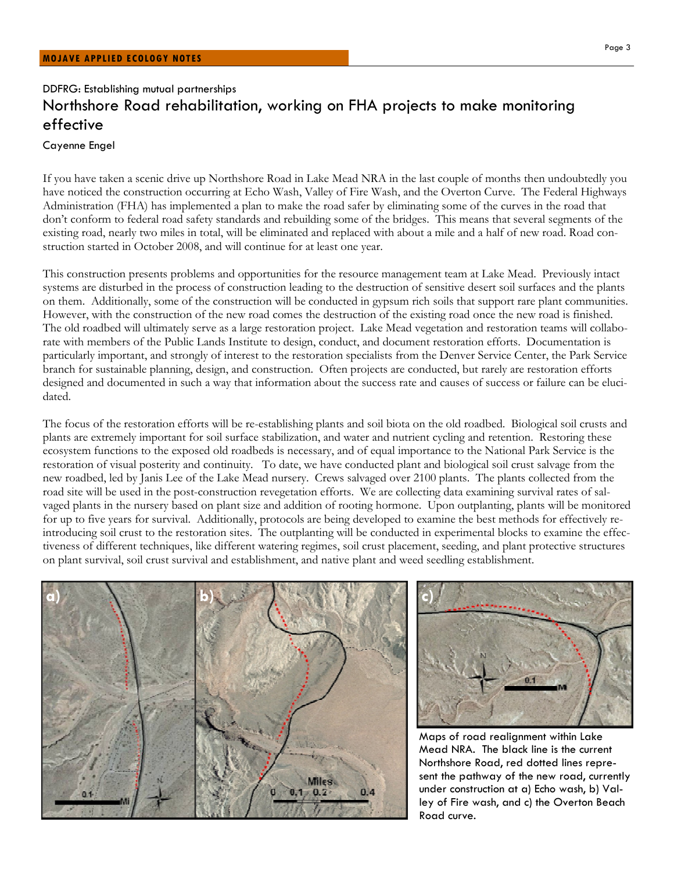# DDFRG: Establishing mutual partnerships Northshore Road rehabilitation, working on FHA projects to make monitoring effective

#### Cayenne Engel

If you have taken a scenic drive up Northshore Road in Lake Mead NRA in the last couple of months then undoubtedly you have noticed the construction occurring at Echo Wash, Valley of Fire Wash, and the Overton Curve. The Federal Highways Administration (FHA) has implemented a plan to make the road safer by eliminating some of the curves in the road that don't conform to federal road safety standards and rebuilding some of the bridges. This means that several segments of the existing road, nearly two miles in total, will be eliminated and replaced with about a mile and a half of new road. Road construction started in October 2008, and will continue for at least one year.

This construction presents problems and opportunities for the resource management team at Lake Mead. Previously intact systems are disturbed in the process of construction leading to the destruction of sensitive desert soil surfaces and the plants on them. Additionally, some of the construction will be conducted in gypsum rich soils that support rare plant communities. However, with the construction of the new road comes the destruction of the existing road once the new road is finished. The old roadbed will ultimately serve as a large restoration project. Lake Mead vegetation and restoration teams will collaborate with members of the Public Lands Institute to design, conduct, and document restoration efforts. Documentation is particularly important, and strongly of interest to the restoration specialists from the Denver Service Center, the Park Service branch for sustainable planning, design, and construction. Often projects are conducted, but rarely are restoration efforts designed and documented in such a way that information about the success rate and causes of success or failure can be elucidated.

The focus of the restoration efforts will be re-establishing plants and soil biota on the old roadbed. Biological soil crusts and plants are extremely important for soil surface stabilization, and water and nutrient cycling and retention. Restoring these ecosystem functions to the exposed old roadbeds is necessary, and of equal importance to the National Park Service is the restoration of visual posterity and continuity. To date, we have conducted plant and biological soil crust salvage from the new roadbed, led by Janis Lee of the Lake Mead nursery. Crews salvaged over 2100 plants. The plants collected from the road site will be used in the post-construction revegetation efforts. We are collecting data examining survival rates of salvaged plants in the nursery based on plant size and addition of rooting hormone. Upon outplanting, plants will be monitored for up to five years for survival. Additionally, protocols are being developed to examine the best methods for effectively reintroducing soil crust to the restoration sites. The outplanting will be conducted in experimental blocks to examine the effectiveness of different techniques, like different watering regimes, soil crust placement, seeding, and plant protective structures on plant survival, soil crust survival and establishment, and native plant and weed seedling establishment.





Maps of road realignment within Lake Mead NRA. The black line is the current Northshore Road, red dotted lines represent the pathway of the new road, currently under construction at a) Echo wash, b) Valley of Fire wash, and c) the Overton Beach Road curve.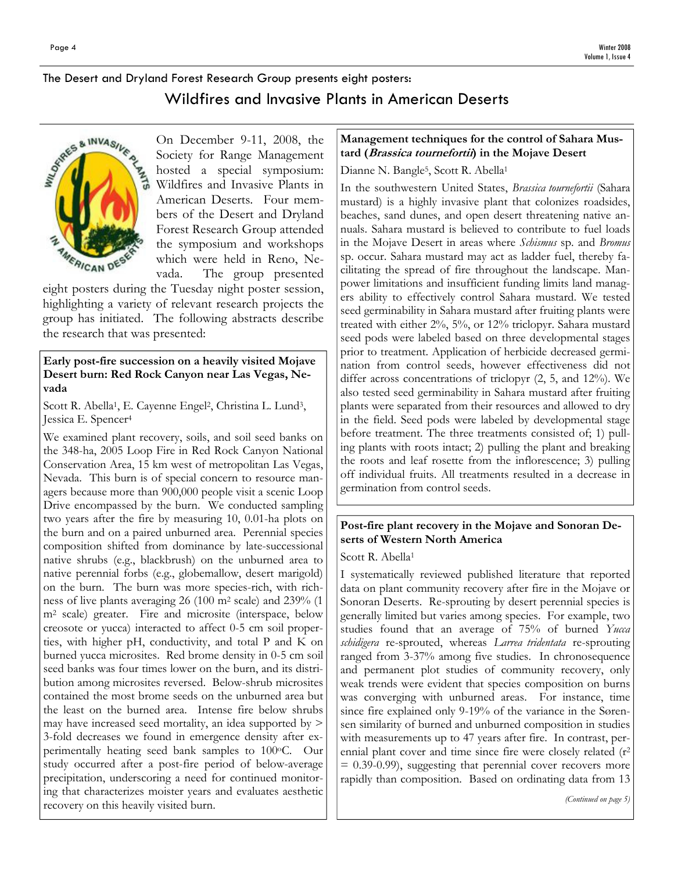# The Desert and Dryland Forest Research Group presents eight posters: Wildfires and Invasive Plants in American Deserts



On December 9-11, 2008, the Society for Range Management hosted a special symposium: Wildfires and Invasive Plants in American Deserts. Four members of the Desert and Dryland Forest Research Group attended the symposium and workshops which were held in Reno, Nevada. The group presented

eight posters during the Tuesday night poster session, highlighting a variety of relevant research projects the group has initiated. The following abstracts describe the research that was presented:

### Early post-fire succession on a heavily visited Mojave Desert burn: Red Rock Canyon near Las Vegas, Nevada

Scott R. Abella<sup>1</sup>, E. Cayenne Engel<sup>2</sup>, Christina L. Lund<sup>3</sup>, Jessica E. Spencer<sup>4</sup>

We examined plant recovery, soils, and soil seed banks on the 348-ha, 2005 Loop Fire in Red Rock Canyon National Conservation Area, 15 km west of metropolitan Las Vegas, Nevada. This burn is of special concern to resource managers because more than 900,000 people visit a scenic Loop Drive encompassed by the burn. We conducted sampling two years after the fire by measuring 10, 0.01-ha plots on the burn and on a paired unburned area. Perennial species composition shifted from dominance by late-successional native shrubs (e.g., blackbrush) on the unburned area to native perennial forbs (e.g., globemallow, desert marigold) on the burn. The burn was more species-rich, with richness of live plants averaging 26 (100 m2 scale) and 239% (1 m2 scale) greater. Fire and microsite (interspace, below creosote or yucca) interacted to affect 0-5 cm soil properties, with higher pH, conductivity, and total P and K on burned yucca microsites. Red brome density in 0-5 cm soil seed banks was four times lower on the burn, and its distribution among microsites reversed. Below-shrub microsites contained the most brome seeds on the unburned area but the least on the burned area. Intense fire below shrubs may have increased seed mortality, an idea supported by > 3-fold decreases we found in emergence density after experimentally heating seed bank samples to 100°C. Our study occurred after a post-fire period of below-average precipitation, underscoring a need for continued monitoring that characterizes moister years and evaluates aesthetic recovery on this heavily visited burn.

### Management techniques for the control of Sahara Mustard (Brassica tournefortii) in the Mojave Desert

Dianne N. Bangle<sup>5</sup>, Scott R. Abella<sup>1</sup>

In the southwestern United States, Brassica tournefortii (Sahara mustard) is a highly invasive plant that colonizes roadsides, beaches, sand dunes, and open desert threatening native annuals. Sahara mustard is believed to contribute to fuel loads in the Mojave Desert in areas where Schismus sp. and Bromus sp. occur. Sahara mustard may act as ladder fuel, thereby facilitating the spread of fire throughout the landscape. Manpower limitations and insufficient funding limits land managers ability to effectively control Sahara mustard. We tested seed germinability in Sahara mustard after fruiting plants were treated with either 2%, 5%, or 12% triclopyr. Sahara mustard seed pods were labeled based on three developmental stages prior to treatment. Application of herbicide decreased germination from control seeds, however effectiveness did not differ across concentrations of triclopyr (2, 5, and 12%). We also tested seed germinability in Sahara mustard after fruiting plants were separated from their resources and allowed to dry in the field. Seed pods were labeled by developmental stage before treatment. The three treatments consisted of; 1) pulling plants with roots intact; 2) pulling the plant and breaking the roots and leaf rosette from the inflorescence; 3) pulling off individual fruits. All treatments resulted in a decrease in germination from control seeds.

## Post-fire plant recovery in the Mojave and Sonoran Deserts of Western North America

Scott R. Abella<sup>1</sup>

I systematically reviewed published literature that reported data on plant community recovery after fire in the Mojave or Sonoran Deserts. Re-sprouting by desert perennial species is generally limited but varies among species. For example, two studies found that an average of 75% of burned Yucca schidigera re-sprouted, whereas Larrea tridentata re-sprouting ranged from 3-37% among five studies. In chronosequence and permanent plot studies of community recovery, only weak trends were evident that species composition on burns was converging with unburned areas. For instance, time since fire explained only 9-19% of the variance in the Sørensen similarity of burned and unburned composition in studies with measurements up to 47 years after fire. In contrast, perennial plant cover and time since fire were closely related (r<sup>2</sup>  $= 0.39-0.99$ , suggesting that perennial cover recovers more rapidly than composition. Based on ordinating data from 13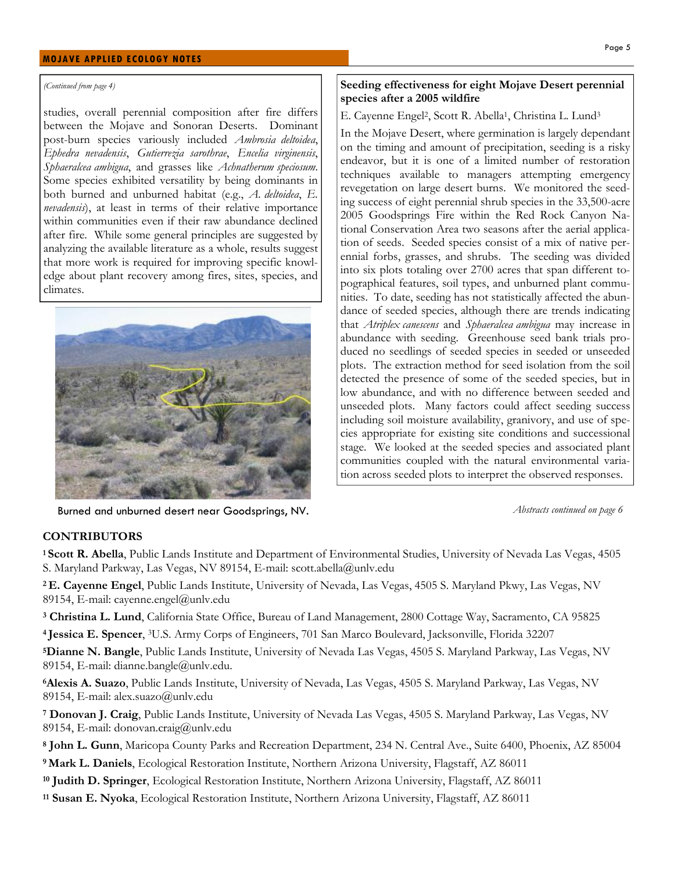#### MOJAVE APPLIED ECOLOGY NOTES

#### (Continued from page 4)

studies, overall perennial composition after fire differs between the Mojave and Sonoran Deserts. Dominant post-burn species variously included Ambrosia deltoidea, Ephedra nevadensis, Gutierrezia sarothrae, Encelia virginensis, Sphaeralcea ambigua, and grasses like Achnatherum speciosum. Some species exhibited versatility by being dominants in both burned and unburned habitat (e.g., A. deltoidea, E. nevadensis), at least in terms of their relative importance within communities even if their raw abundance declined after fire. While some general principles are suggested by analyzing the available literature as a whole, results suggest that more work is required for improving specific knowledge about plant recovery among fires, sites, species, and climates.



Burned and unburned desert near Goodsprings, NV. Abstracts continued on page 6

#### Seeding effectiveness for eight Mojave Desert perennial species after a 2005 wildfire

#### E. Cayenne Engel<sup>2</sup>, Scott R. Abella<sup>1</sup>, Christina L. Lund<sup>3</sup>

In the Mojave Desert, where germination is largely dependant on the timing and amount of precipitation, seeding is a risky endeavor, but it is one of a limited number of restoration techniques available to managers attempting emergency revegetation on large desert burns. We monitored the seeding success of eight perennial shrub species in the 33,500-acre 2005 Goodsprings Fire within the Red Rock Canyon National Conservation Area two seasons after the aerial application of seeds. Seeded species consist of a mix of native perennial forbs, grasses, and shrubs. The seeding was divided into six plots totaling over 2700 acres that span different topographical features, soil types, and unburned plant communities. To date, seeding has not statistically affected the abundance of seeded species, although there are trends indicating that Atriplex canescens and Sphaeralcea ambigua may increase in abundance with seeding. Greenhouse seed bank trials produced no seedlings of seeded species in seeded or unseeded plots. The extraction method for seed isolation from the soil detected the presence of some of the seeded species, but in low abundance, and with no difference between seeded and unseeded plots. Many factors could affect seeding success including soil moisture availability, granivory, and use of species appropriate for existing site conditions and successional stage. We looked at the seeded species and associated plant communities coupled with the natural environmental variation across seeded plots to interpret the observed responses.

### **CONTRIBUTORS**

<sup>1</sup> Scott R. Abella, Public Lands Institute and Department of Environmental Studies, University of Nevada Las Vegas, 4505 S. Maryland Parkway, Las Vegas, NV 89154, E-mail: scott.abella@unlv.edu

<sup>2</sup>E. Cayenne Engel, Public Lands Institute, University of Nevada, Las Vegas, 4505 S. Maryland Pkwy, Las Vegas, NV 89154, E-mail: cayenne.engel@unlv.edu

<sup>3</sup> Christina L. Lund, California State Office, Bureau of Land Management, 2800 Cottage Way, Sacramento, CA 95825

<sup>4</sup>Jessica E. Spencer, <sup>3</sup>U.S. Army Corps of Engineers, 701 San Marco Boulevard, Jacksonville, Florida 32207

<sup>5</sup>Dianne N. Bangle, Public Lands Institute, University of Nevada Las Vegas, 4505 S. Maryland Parkway, Las Vegas, NV 89154, E-mail: dianne.bangle@unlv.edu.

<sup>6</sup>Alexis A. Suazo, Public Lands Institute, University of Nevada, Las Vegas, 4505 S. Maryland Parkway, Las Vegas, NV 89154, E-mail: alex.suazo@unlv.edu

<sup>7</sup> Donovan J. Craig, Public Lands Institute, University of Nevada Las Vegas, 4505 S. Maryland Parkway, Las Vegas, NV 89154, E-mail: donovan.craig@unlv.edu

<sup>8</sup> John L. Gunn, Maricopa County Parks and Recreation Department, 234 N. Central Ave., Suite 6400, Phoenix, AZ 85004

<sup>9</sup>Mark L. Daniels, Ecological Restoration Institute, Northern Arizona University, Flagstaff, AZ 86011

10 Judith D. Springer, Ecological Restoration Institute, Northern Arizona University, Flagstaff, AZ 86011

<sup>11</sup> Susan E. Nyoka, Ecological Restoration Institute, Northern Arizona University, Flagstaff, AZ 86011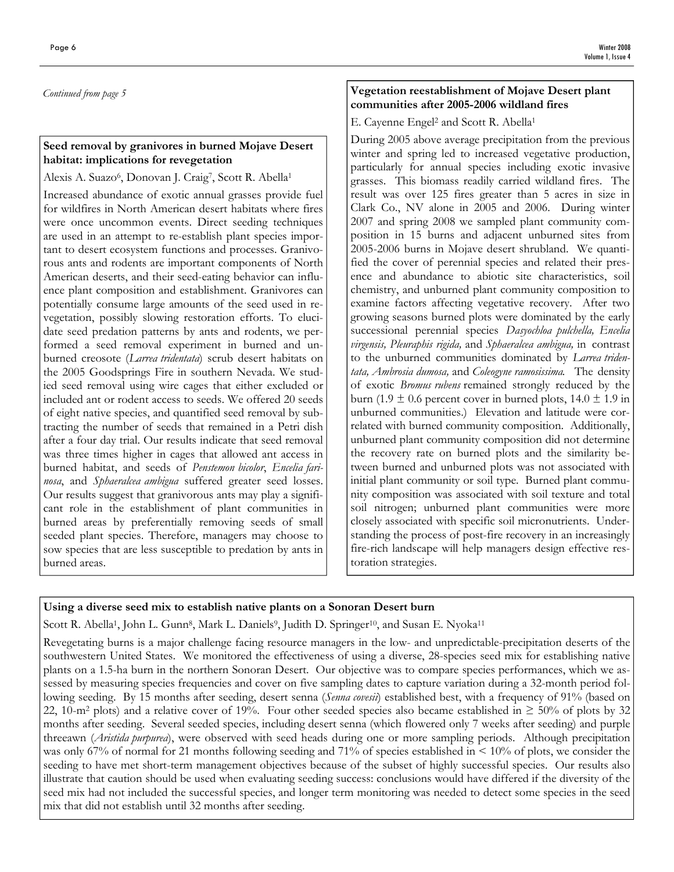Continued from page 5

### Seed removal by granivores in burned Mojave Desert habitat: implications for revegetation

Alexis A. Suazo<sup>6</sup>, Donovan J. Craig<sup>7</sup>, Scott R. Abella<sup>1</sup>

Increased abundance of exotic annual grasses provide fuel for wildfires in North American desert habitats where fires were once uncommon events. Direct seeding techniques are used in an attempt to re-establish plant species important to desert ecosystem functions and processes. Granivorous ants and rodents are important components of North American deserts, and their seed-eating behavior can influence plant composition and establishment. Granivores can potentially consume large amounts of the seed used in revegetation, possibly slowing restoration efforts. To elucidate seed predation patterns by ants and rodents, we performed a seed removal experiment in burned and unburned creosote (Larrea tridentata) scrub desert habitats on the 2005 Goodsprings Fire in southern Nevada. We studied seed removal using wire cages that either excluded or included ant or rodent access to seeds. We offered 20 seeds of eight native species, and quantified seed removal by subtracting the number of seeds that remained in a Petri dish after a four day trial. Our results indicate that seed removal was three times higher in cages that allowed ant access in burned habitat, and seeds of Penstemon bicolor, Encelia farinosa, and Sphaeralcea ambigua suffered greater seed losses. Our results suggest that granivorous ants may play a significant role in the establishment of plant communities in burned areas by preferentially removing seeds of small seeded plant species. Therefore, managers may choose to sow species that are less susceptible to predation by ants in burned areas.

### Vegetation reestablishment of Mojave Desert plant communities after 2005-2006 wildland fires

E. Cayenne Engel<sup>2</sup> and Scott R. Abella<sup>1</sup>

During 2005 above average precipitation from the previous winter and spring led to increased vegetative production, particularly for annual species including exotic invasive grasses. This biomass readily carried wildland fires. The result was over 125 fires greater than 5 acres in size in Clark Co., NV alone in 2005 and 2006. During winter 2007 and spring 2008 we sampled plant community composition in 15 burns and adjacent unburned sites from 2005-2006 burns in Mojave desert shrubland. We quantified the cover of perennial species and related their presence and abundance to abiotic site characteristics, soil chemistry, and unburned plant community composition to examine factors affecting vegetative recovery. After two growing seasons burned plots were dominated by the early successional perennial species Dasyochloa pulchella, Encelia virgensis, Pleuraphis rigida, and Sphaeralcea ambigua, in contrast to the unburned communities dominated by Larrea tridentata, Ambrosia dumosa, and Coleogyne ramosissima. The density of exotic Bromus rubens remained strongly reduced by the burn (1.9  $\pm$  0.6 percent cover in burned plots, 14.0  $\pm$  1.9 in unburned communities.) Elevation and latitude were correlated with burned community composition. Additionally, unburned plant community composition did not determine the recovery rate on burned plots and the similarity between burned and unburned plots was not associated with initial plant community or soil type. Burned plant community composition was associated with soil texture and total soil nitrogen; unburned plant communities were more closely associated with specific soil micronutrients. Understanding the process of post-fire recovery in an increasingly fire-rich landscape will help managers design effective restoration strategies.

### Using a diverse seed mix to establish native plants on a Sonoran Desert burn

Scott R. Abella<sup>1</sup>, John L. Gunn<sup>8</sup>, Mark L. Daniels<sup>9</sup>, Judith D. Springer<sup>10</sup>, and Susan E. Nyoka<sup>11</sup>

Revegetating burns is a major challenge facing resource managers in the low- and unpredictable-precipitation deserts of the southwestern United States. We monitored the effectiveness of using a diverse, 28-species seed mix for establishing native plants on a 1.5-ha burn in the northern Sonoran Desert. Our objective was to compare species performances, which we assessed by measuring species frequencies and cover on five sampling dates to capture variation during a 32-month period following seeding. By 15 months after seeding, desert senna (Senna covesii) established best, with a frequency of 91% (based on 22, 10-m<sup>2</sup> plots) and a relative cover of 19%. Four other seeded species also became established in  $\geq 50$ % of plots by 32 months after seeding. Several seeded species, including desert senna (which flowered only 7 weeks after seeding) and purple threeawn (Aristida purpurea), were observed with seed heads during one or more sampling periods. Although precipitation was only 67% of normal for 21 months following seeding and 71% of species established in  $\leq 10\%$  of plots, we consider the seeding to have met short-term management objectives because of the subset of highly successful species. Our results also illustrate that caution should be used when evaluating seeding success: conclusions would have differed if the diversity of the seed mix had not included the successful species, and longer term monitoring was needed to detect some species in the seed mix that did not establish until 32 months after seeding.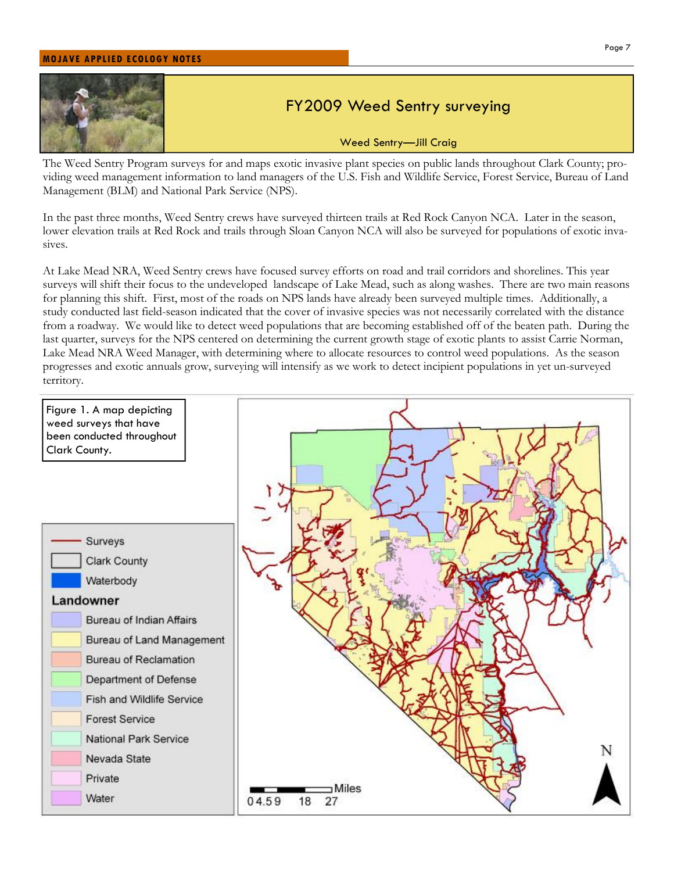#### MOJAVE APPLIED ECOLOGY NOTES



# FY2009 Weed Sentry surveying

Weed Sentry—Jill Craig

The Weed Sentry Program surveys for and maps exotic invasive plant species on public lands throughout Clark County; providing weed management information to land managers of the U.S. Fish and Wildlife Service, Forest Service, Bureau of Land Management (BLM) and National Park Service (NPS).

In the past three months, Weed Sentry crews have surveyed thirteen trails at Red Rock Canyon NCA. Later in the season, lower elevation trails at Red Rock and trails through Sloan Canyon NCA will also be surveyed for populations of exotic invasives.

At Lake Mead NRA, Weed Sentry crews have focused survey efforts on road and trail corridors and shorelines. This year surveys will shift their focus to the undeveloped landscape of Lake Mead, such as along washes. There are two main reasons for planning this shift. First, most of the roads on NPS lands have already been surveyed multiple times. Additionally, a study conducted last field-season indicated that the cover of invasive species was not necessarily correlated with the distance from a roadway. We would like to detect weed populations that are becoming established off of the beaten path. During the last quarter, surveys for the NPS centered on determining the current growth stage of exotic plants to assist Carrie Norman, Lake Mead NRA Weed Manager, with determining where to allocate resources to control weed populations. As the season progresses and exotic annuals grow, surveying will intensify as we work to detect incipient populations in yet un-surveyed territory.